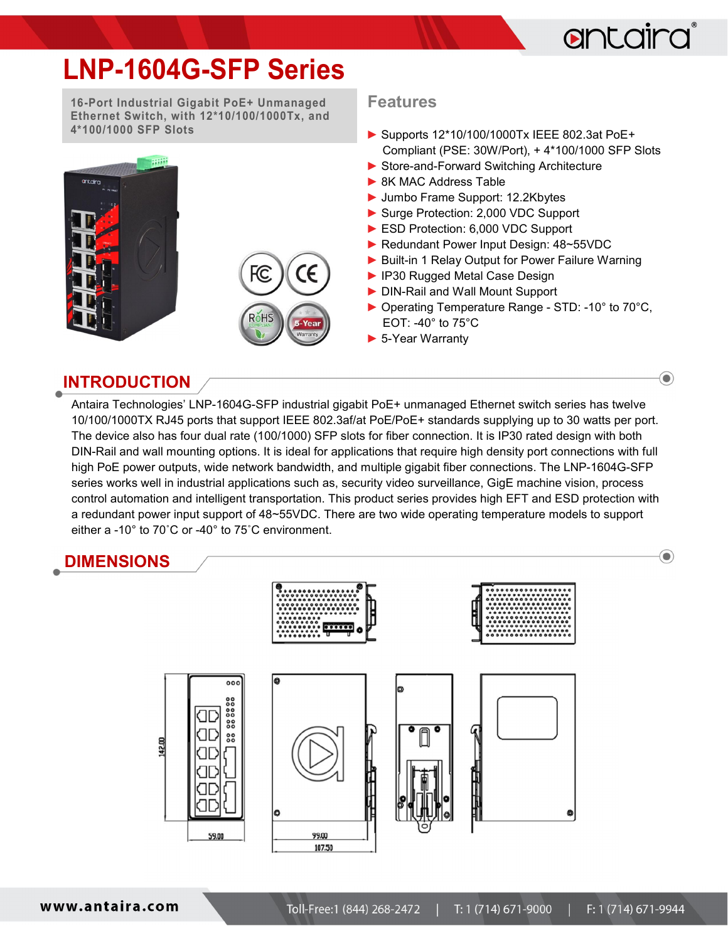

 $\odot$ 

 $\left( \bullet \right)$ 

# LNP-1604G-SFP Series

16-Port Industrial Gigabit PoE+ Unmanaged Ethernet Switch, with 12\*10/100/1000Tx, and 4\*100/1000 SFP Slots





#### Features

- ► Supports 12\*10/100/1000Tx IEEE 802.3at PoE+ Compliant (PSE: 30W/Port), + 4\*100/1000 SFP Slots
- ▶ Store-and-Forward Switching Architecture
- ▶ 8K MAC Address Table
- ► Jumbo Frame Support: 12.2Kbytes
- ► Surge Protection: 2,000 VDC Support
- ► ESD Protection: 6,000 VDC Support
- ► Redundant Power Input Design: 48~55VDC
- ► Built-in 1 Relay Output for Power Failure Warning
- ► IP30 Rugged Metal Case Design
- ► DIN-Rail and Wall Mount Support
- ► Operating Temperature Range STD: -10° to 70°C, EOT: -40° to 75°C
- ► 5-Year Warranty

### INTRODUCTION

Antaira Technologies' LNP-1604G-SFP industrial gigabit PoE+ unmanaged Ethernet switch series has twelve 10/100/1000TX RJ45 ports that support IEEE 802.3af/at PoE/PoE+ standards supplying up to 30 watts per port. The device also has four dual rate (100/1000) SFP slots for fiber connection. It is IP30 rated design with both DIN-Rail and wall mounting options. It is ideal for applications that require high density port connections with full high PoE power outputs, wide network bandwidth, and multiple gigabit fiber connections. The LNP-1604G-SFP series works well in industrial applications such as, security video surveillance, GigE machine vision, process control automation and intelligent transportation. This product series provides high EFT and ESD protection with a redundant power input support of 48~55VDC. There are two wide operating temperature models to support either a -10° to 70˚C or -40° to 75˚C environment.

# DIMENSIONS